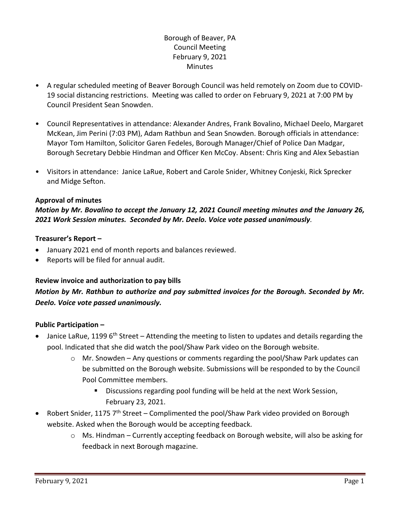## Borough of Beaver, PA Council Meeting February 9, 2021 **Minutes**

- A regular scheduled meeting of Beaver Borough Council was held remotely on Zoom due to COVID-19 social distancing restrictions. Meeting was called to order on February 9, 2021 at 7:00 PM by Council President Sean Snowden.
- Council Representatives in attendance: Alexander Andres, Frank Bovalino, Michael Deelo, Margaret McKean, Jim Perini (7:03 PM), Adam Rathbun and Sean Snowden. Borough officials in attendance: Mayor Tom Hamilton, Solicitor Garen Fedeles, Borough Manager/Chief of Police Dan Madgar, Borough Secretary Debbie Hindman and Officer Ken McCoy. Absent: Chris King and Alex Sebastian
- Visitors in attendance: Janice LaRue, Robert and Carole Snider, Whitney Conjeski, Rick Sprecker and Midge Sefton.

### **Approval of minutes**

## *Motion by Mr. Bovalino to accept the January 12, 2021 Council meeting minutes and the January 26, 2021 Work Session minutes. Seconded by Mr. Deelo. Voice vote passed unanimously.*

### **Treasurer's Report –**

- January 2021 end of month reports and balances reviewed.
- Reports will be filed for annual audit.

## **Review invoice and authorization to pay bills**

## *Motion by Mr. Rathbun to authorize and pay submitted invoices for the Borough. Seconded by Mr. Deelo. Voice vote passed unanimously.*

## **Public Participation –**

- Janice LaRue, 1199  $6<sup>th</sup>$  Street Attending the meeting to listen to updates and details regarding the pool. Indicated that she did watch the pool/Shaw Park video on the Borough website.
	- $\circ$  Mr. Snowden Any questions or comments regarding the pool/Shaw Park updates can be submitted on the Borough website. Submissions will be responded to by the Council Pool Committee members.
		- Discussions regarding pool funding will be held at the next Work Session, February 23, 2021.
- Robert Snider, 1175  $7<sup>th</sup>$  Street Complimented the pool/Shaw Park video provided on Borough website. Asked when the Borough would be accepting feedback.
	- $\circ$  Ms. Hindman Currently accepting feedback on Borough website, will also be asking for feedback in next Borough magazine.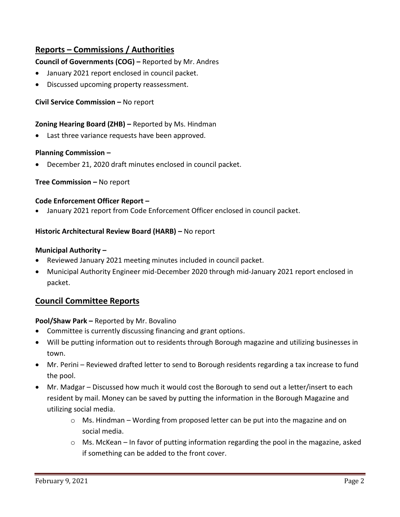# **Reports – Commissions / Authorities**

### **Council of Governments (COG) –** Reported by Mr. Andres

- January 2021 report enclosed in council packet.
- Discussed upcoming property reassessment.

### **Civil Service Commission –** No report

### **Zoning Hearing Board (ZHB) –** Reported by Ms. Hindman

Last three variance requests have been approved.

### **Planning Commission –**

December 21, 2020 draft minutes enclosed in council packet.

### **Tree Commission –** No report

### **Code Enforcement Officer Report –**

January 2021 report from Code Enforcement Officer enclosed in council packet.

### **Historic Architectural Review Board (HARB) –** No report

### **Municipal Authority –**

- Reviewed January 2021 meeting minutes included in council packet.
- Municipal Authority Engineer mid-December 2020 through mid-January 2021 report enclosed in packet.

## **Council Committee Reports**

### **Pool/Shaw Park –** Reported by Mr. Bovalino

- Committee is currently discussing financing and grant options.
- Will be putting information out to residents through Borough magazine and utilizing businesses in town.
- Mr. Perini Reviewed drafted letter to send to Borough residents regarding a tax increase to fund the pool.
- Mr. Madgar Discussed how much it would cost the Borough to send out a letter/insert to each resident by mail. Money can be saved by putting the information in the Borough Magazine and utilizing social media.
	- $\circ$  Ms. Hindman Wording from proposed letter can be put into the magazine and on social media.
	- $\circ$  Ms. McKean In favor of putting information regarding the pool in the magazine, asked if something can be added to the front cover.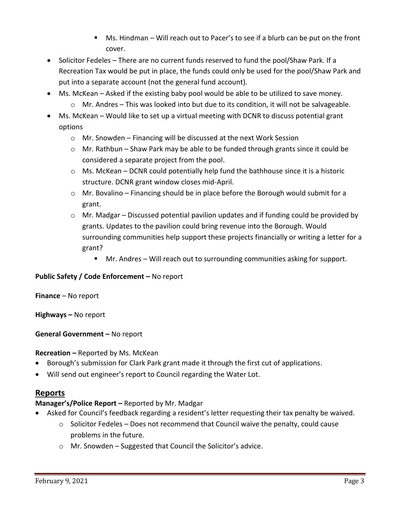- Ms. Hindman Will reach out to Pacer's to see if a blurb can be put on the front cover.
- Solicitor Fedeles There are no current funds reserved to fund the pool/Shaw Park. If a Recreation Tax would be put in place, the funds could only be used for the pool/Shaw Park and put into a separate account (not the general fund account).
- Ms. McKean Asked if the existing baby pool would be able to be utilized to save money.
	- $\circ$  Mr. Andres This was looked into but due to its condition, it will not be salvageable.
- Ms. McKean Would like to set up a virtual meeting with DCNR to discuss potential grant options
	- o Mr. Snowden Financing will be discussed at the next Work Session
	- $\circ$  Mr. Rathbun Shaw Park may be able to be funded through grants since it could be considered a separate project from the pool.
	- $\circ$  Ms. McKean DCNR could potentially help fund the bathhouse since it is a historic structure. DCNR grant window closes mid-April.
	- $\circ$  Mr. Bovalino Financing should be in place before the Borough would submit for a grant.
	- o Mr. Madgar Discussed potential pavilion updates and if funding could be provided by grants. Updates to the pavilion could bring revenue into the Borough. Would surrounding communities help support these projects financially or writing a letter for a grant?
		- Mr. Andres Will reach out to surrounding communities asking for support.

## **Public Safety / Code Enforcement –** No report

**Finance** – No report

**Highways –** No report

## **General Government –** No report

## **Recreation –** Reported by Ms. McKean

- Borough's submission for Clark Park grant made it through the first cut of applications.
- Will send out engineer's report to Council regarding the Water Lot.

## **Reports**

## **Manager's/Police Report –** Reported by Mr. Madgar

- Asked for Council's feedback regarding a resident's letter requesting their tax penalty be waived.
	- $\circ$  Solicitor Fedeles Does not recommend that Council waive the penalty, could cause problems in the future.
	- o Mr. Snowden Suggested that Council the Solicitor's advice.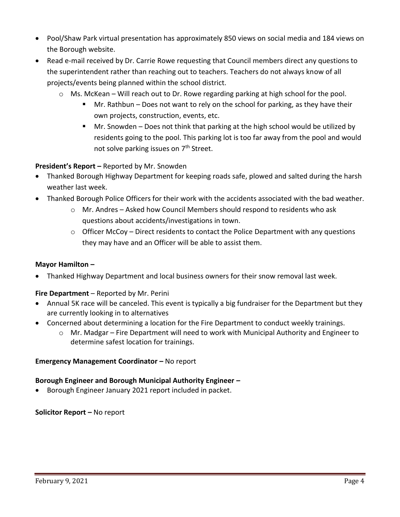- Pool/Shaw Park virtual presentation has approximately 850 views on social media and 184 views on the Borough website.
- Read e-mail received by Dr. Carrie Rowe requesting that Council members direct any questions to the superintendent rather than reaching out to teachers. Teachers do not always know of all projects/events being planned within the school district.
	- $\circ$  Ms. McKean Will reach out to Dr. Rowe regarding parking at high school for the pool.
		- Mr. Rathbun Does not want to rely on the school for parking, as they have their own projects, construction, events, etc.
		- Mr. Snowden Does not think that parking at the high school would be utilized by residents going to the pool. This parking lot is too far away from the pool and would not solve parking issues on 7<sup>th</sup> Street.

### **President's Report –** Reported by Mr. Snowden

- Thanked Borough Highway Department for keeping roads safe, plowed and salted during the harsh weather last week.
- Thanked Borough Police Officers for their work with the accidents associated with the bad weather.
	- $\circ$  Mr. Andres Asked how Council Members should respond to residents who ask questions about accidents/investigations in town.
	- $\circ$  Officer McCoy Direct residents to contact the Police Department with any questions they may have and an Officer will be able to assist them.

### **Mayor Hamilton –**

Thanked Highway Department and local business owners for their snow removal last week.

### **Fire Department** – Reported by Mr. Perini

- Annual 5K race will be canceled. This event is typically a big fundraiser for the Department but they are currently looking in to alternatives
- Concerned about determining a location for the Fire Department to conduct weekly trainings.
	- $\circ$  Mr. Madgar Fire Department will need to work with Municipal Authority and Engineer to determine safest location for trainings.

### **Emergency Management Coordinator - No report**

### **Borough Engineer and Borough Municipal Authority Engineer –**

Borough Engineer January 2021 report included in packet.

#### **Solicitor Report –** No report